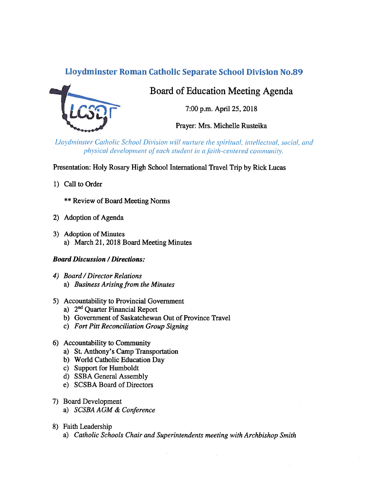# Lloydminster Roman Catholic Separate School Division No.89



# Board of Education Meeting Agenda

7:00 p.m. April 25, 2018

Prayer: Mrs. Michelle Rusteika

Lloydminster Catholic School Division will nurture the spiritual, intellectual, social, and physical development of each student in a faith-centered community.

Presentation: Holy Rosary High School International Travel Trip by Rick Lucas

1) Call to Order

\*\* Review of Board Meeting Norms

- 2) Adoption of Agenda
- 3) Adoption of Minutes a) March 21, 2018 Board Meeting Minutes

## Board Discussion / Directions:

- 4) Board /Director Relations a) Business Arising from the Minutes
- 5) Accountability to Provincial Government
	- a) 2<sup>nd</sup> Quarter Financial Report
	- b) Government of Saskatchewan Out of Province Travel
	- c) Fort Pitt Reconciliation Group Signing
- 6) Accountability to Community
	- a) St. Anthony's Camp Transportation
	- b) World Catholic Education Day
	- c) Support for Humboldt
	- d) SSBA General Assembly
	- e) SC\$BA Board of Directors
- 7) Board Development
	- a) SCSBA AGM & Conference
- 8) Faith Leadership
	- a) Catholic Schools Chair and Superintendents meeting with Archbishop Smith

 $\overline{\mathbf{r}}$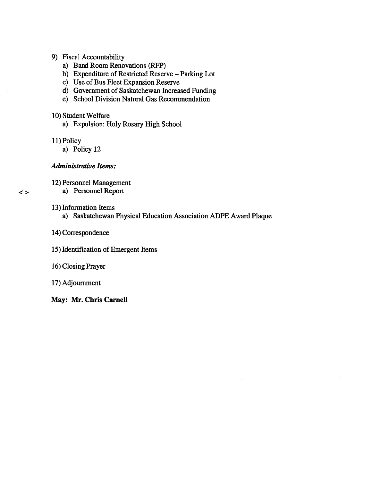- 9) Fiscal Accountability
	- a) Band Room Renovations (RFP)
	- b) Expenditure of Restricted Reserve Parking Lot
	- c) Use of Bus Fleet Expansion Reserve
	- d) Government of Saskatchewan Increased Funding
	- e) School Division Natural Gas Recommendation
- 10) Student Welfare
	- a) Expulsion: Holy Rosary High School
- 11) Policy
	- a) Policy 12

#### Administrative Items:

12) Personnel Management

a) Personnel Report

- 13) Information Items
	- a) Saskatchewan Physical Education Association ADPE Award Plaque
- 14) Correspondence
- 15) Identification of Emergent Items
- 16) Closing Prayer

17) Adjournment

May: Mr. Chris Carnell

 $\leftrightarrow$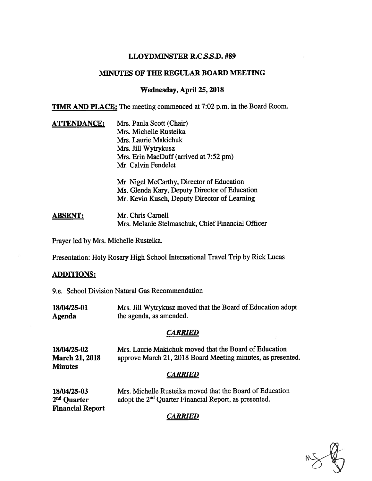### LLOYDMINSTER R.C.S.S.D. #89

### MINUTES OF THE REGULAR BOARD MEETING

### Wednesday, April 25, 2018

TIME AND PLACE: The meeting commenced at 7:02 p.m. in the Board Room.

| <b>ATTENDANCE:</b> | Mrs. Paula Scott (Chair)                          |
|--------------------|---------------------------------------------------|
|                    | Mrs. Michelle Rusteika                            |
|                    | Mrs. Laurie Makichuk                              |
|                    | Mrs. Jill Wytrykusz                               |
|                    | Mrs. Erin MacDuff (arrived at 7:52 pm)            |
|                    | Mr. Calvin Fendelet                               |
|                    | Mr. Nigel McCarthy, Director of Education         |
|                    | Ms. Glenda Kary, Deputy Director of Education     |
|                    | Mr. Kevin Kusch, Deputy Director of Learning      |
| <b>ABSENT:</b>     | Mr. Chris Carnell                                 |
|                    | Mrs. Melanie Stelmaschuk, Chief Financial Officer |

Prayer led by Mrs. Michelle Rusteika.

Presentation: Holy Rosary High School International Travel Trip by Rick Lucas

### ADDITIONS:

9.e. School Division Natural Gas Recommendation

| 18/04/25-01 | Mrs. Jill Wytrykusz moved that the Board of Education adopt |
|-------------|-------------------------------------------------------------|
| Agenda      | the agenda, as amended.                                     |

### **CARRIED**

| 18/04/25-02           | Mrs. Laurie Makichuk moved that the Board of Education      |
|-----------------------|-------------------------------------------------------------|
| <b>March 21, 2018</b> | approve March 21, 2018 Board Meeting minutes, as presented. |
| <b>Minutes</b>        |                                                             |

## **CARRIED**

| 18/04/25-03             | Mrs. Michelle Rusteika moved that the Board of Education          |
|-------------------------|-------------------------------------------------------------------|
| 2 <sup>nd</sup> Quarter | adopt the 2 <sup>nd</sup> Quarter Financial Report, as presented. |
| <b>Financial Report</b> |                                                                   |

# **CARRIED**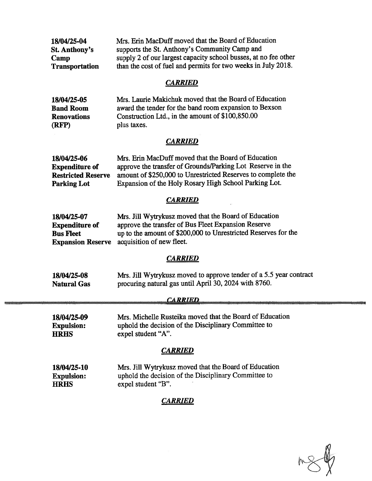| 18/04/25-04           | Mrs. Erin MacDuff moved that the Board of Education             |
|-----------------------|-----------------------------------------------------------------|
| <b>St. Anthony's</b>  | supports the St. Anthony's Community Camp and                   |
| Camp                  | supply 2 of our largest capacity school busses, at no fee other |
| <b>Transportation</b> | than the cost of fuel and permits for two weeks in July 2018.   |

### **CARRIED**

| 18/04/25-05        | Mrs. Laurie Makichuk moved that the Board of Education |
|--------------------|--------------------------------------------------------|
| <b>Band Room</b>   | award the tender for the band room expansion to Bexson |
| <b>Renovations</b> | Construction Ltd., in the amount of \$100,850.00       |
| (RFP)              | plus taxes.                                            |

# **CARRIED**

| 18/04/25-06               | Mrs. Erin MacDuff moved that the Board of Education          |
|---------------------------|--------------------------------------------------------------|
| <b>Expenditure of</b>     | approve the transfer of Grounds/Parking Lot Reserve in the   |
| <b>Restricted Reserve</b> | amount of \$250,000 to Unrestricted Reserves to complete the |
| <b>Parking Lot</b>        | Expansion of the Holy Rosary High School Parking Lot.        |

## **CARRIED**

| 18/04/25-07           | Mrs. Jill Wytrykusz moved that the Board of Education          |
|-----------------------|----------------------------------------------------------------|
| <b>Expenditure of</b> | approve the transfer of Bus Fleet Expansion Reserve            |
| <b>Bus Fleet</b>      | up to the amount of \$200,000 to Unrestricted Reserves for the |
|                       | <b>Expansion Reserve</b> acquisition of new fleet.             |

# **CARRIED**

| 18/04/25-08 | Mrs. Jill Wytrykusz moved to approve tender of a 5.5 year contract |
|-------------|--------------------------------------------------------------------|
| Natural Gas | procuring natural gas until April 30, 2024 with 8760.              |

### CARRIED

18/04/25-09 Mrs. Michelle Rusteika moved that the Board of Education Expulsion: uphold the decision of the Disciplinary Committee to HRHS expel student "A".

### **CARRIED**

| 18/04/25-10       | Mrs. Jill Wytrykusz moved that the Board of Education |
|-------------------|-------------------------------------------------------|
| <b>Expulsion:</b> | uphold the decision of the Disciplinary Committee to  |
| <b>HRHS</b>       | expel student "B".                                    |

# **CARRIED**